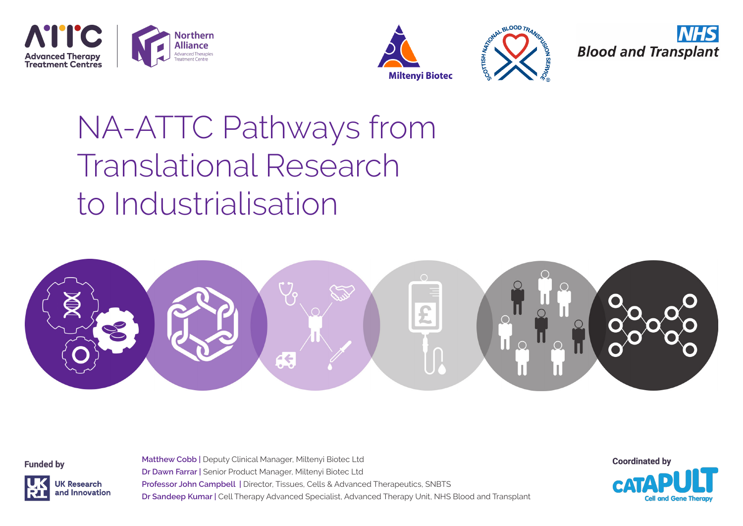







# NA-ATTC Pathways from Translational Research to Industrialisation

**Matthew Cobb |** Deputy Clinical Manager, Miltenyi Biotec Ltd



**Funded by** 



**Dr Dawn Farrar |** Senior Product Manager, Miltenyi Biotec Ltd **Professor John Campbell |** Director, Tissues, Cells & Advanced Therapeutics, SNBTS **Dr Sandeep Kumar |** Cell Therapy Advanced Specialist, Advanced Therapy Unit, NHS Blood and Transplant

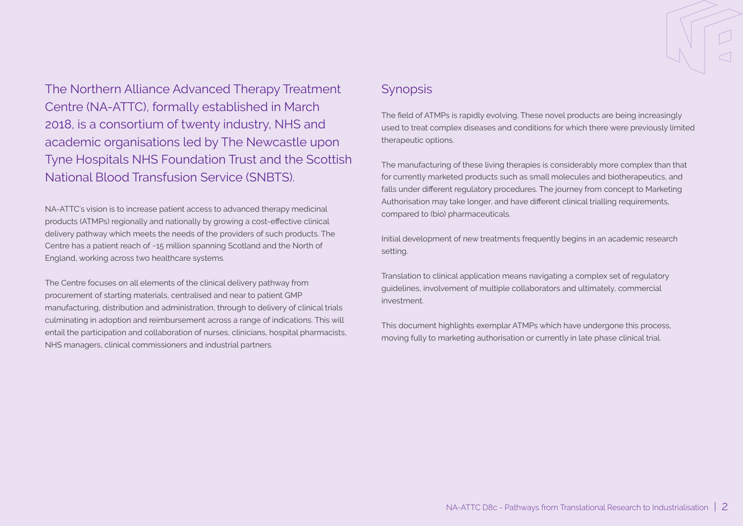The Northern Alliance Advanced Therapy Treatment Centre (NA-ATTC), formally established in March 2018, is a consortium of twenty industry, NHS and academic organisations led by The Newcastle upon Tyne Hospitals NHS Foundation Trust and the Scottish National Blood Transfusion Service (SNBTS).

NA-ATTC's vision is to increase patient access to advanced therapy medicinal products (ATMPs) regionally and nationally by growing a cost-effective clinical delivery pathway which meets the needs of the providers of such products. The Centre has a patient reach of ~15 million spanning Scotland and the North of England, working across two healthcare systems.

The Centre focuses on all elements of the clinical delivery pathway from procurement of starting materials, centralised and near to patient GMP manufacturing, distribution and administration, through to delivery of clinical trials culminating in adoption and reimbursement across a range of indications. This will entail the participation and collaboration of nurses, clinicians, hospital pharmacists, NHS managers, clinical commissioners and industrial partners.

## **Synopsis**

The field of ATMPs is rapidly evolving. These novel products are being increasingly used to treat complex diseases and conditions for which there were previously limited therapeutic options.

The manufacturing of these living therapies is considerably more complex than that for currently marketed products such as small molecules and biotherapeutics, and falls under different regulatory procedures. The journey from concept to Marketing Authorisation may take longer, and have different clinical trialling requirements, compared to (bio) pharmaceuticals.

Initial development of new treatments frequently begins in an academic research setting.

Translation to clinical application means navigating a complex set of regulatory guidelines, involvement of multiple collaborators and ultimately, commercial investment.

This document highlights exemplar ATMPs which have undergone this process, moving fully to marketing authorisation or currently in late phase clinical trial.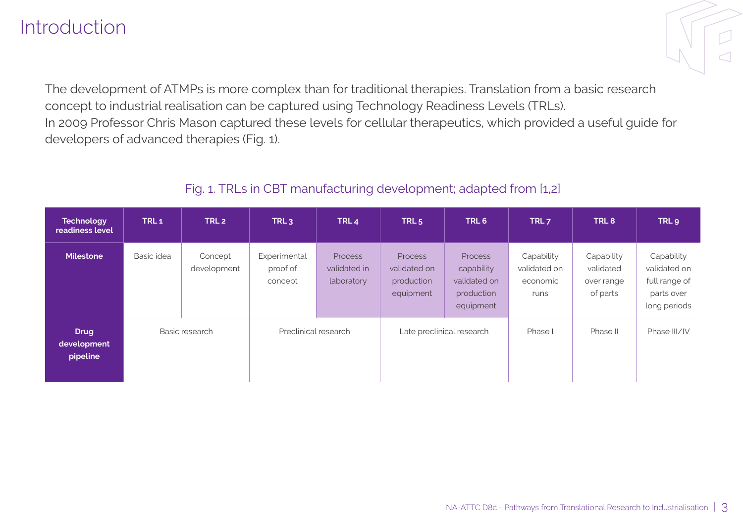## Introduction

The development of ATMPs is more complex than for traditional therapies. Translation from a basic research concept to industrial realisation can be captured using Technology Readiness Levels (TRLs). In 2009 Professor Chris Mason captured these levels for cellular therapeutics, which provided a useful guide for developers of advanced therapies (Fig. 1).

## Fig. 1. TRLs in CBT manufacturing development; adapted from [1,2]

| <b>Technology</b><br>readiness level   | TRL <sub>1</sub> | TRL <sub>2</sub>       | TRL <sub>3</sub>                    | TRL <sub>4</sub>                             | TRL <sub>5</sub>                                          | TRL <sub>6</sub>                                                 | TRL <sub>7</sub>                               | TRL <sub>8</sub>                                  | TRL <sub>9</sub>                                                          |
|----------------------------------------|------------------|------------------------|-------------------------------------|----------------------------------------------|-----------------------------------------------------------|------------------------------------------------------------------|------------------------------------------------|---------------------------------------------------|---------------------------------------------------------------------------|
| <b>Milestone</b>                       | Basic idea       | Concept<br>development | Experimental<br>proof of<br>concept | <b>Process</b><br>validated in<br>laboratory | <b>Process</b><br>validated on<br>production<br>equipment | Process<br>capability<br>validated on<br>production<br>equipment | Capability<br>validated on<br>economic<br>runs | Capability<br>validated<br>over range<br>of parts | Capability<br>validated on<br>full range of<br>parts over<br>long periods |
| <b>Drug</b><br>development<br>pipeline |                  | Basic research         | Preclinical research                |                                              |                                                           | Late preclinical research                                        | Phase I                                        | Phase II                                          | Phase III/IV                                                              |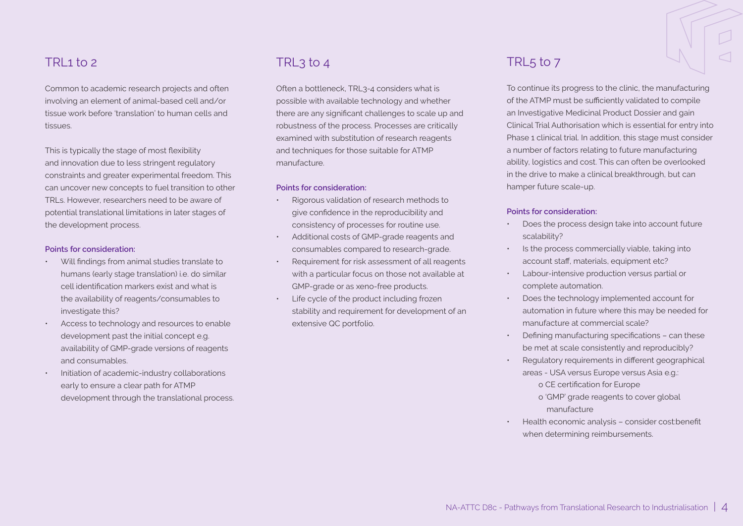### TRI $1 to 2$

Common to academic research projects and often involving an element of animal-based cell and/or tissue work before 'translation' to human cells and tissues.

This is typically the stage of most flexibility and innovation due to less stringent regulatory constraints and greater experimental freedom. This can uncover new concepts to fuel transition to other TRLs. However, researchers need to be aware of potential translational limitations in later stages of the development process.

#### **Points for consideration:**

- Will findings from animal studies translate to humans (early stage translation) i.e. do similar cell identification markers exist and what is the availability of reagents/consumables to investigate this?
- Access to technology and resources to enable development past the initial concept e.g. availability of GMP-grade versions of reagents and consumables.
- Initiation of academic-industry collaborations early to ensure a clear path for ATMP development through the translational process.

## TRL3 to 4

Often a bottleneck, TRL3-4 considers what is possible with available technology and whether there are any significant challenges to scale up and robustness of the process. Processes are critically examined with substitution of research reagents and techniques for those suitable for ATMP manufacture.

#### **Points for consideration:**

- Rigorous validation of research methods to give confidence in the reproducibility and consistency of processes for routine use.
- Additional costs of GMP-grade reagents and consumables compared to research-grade.
- Requirement for risk assessment of all reagents with a particular focus on those not available at GMP-grade or as xeno-free products.
- Life cycle of the product including frozen stability and requirement for development of an extensive QC portfolio.

### TRL5 to 7

To continue its progress to the clinic, the manufacturing of the ATMP must be sufficiently validated to compile an Investigative Medicinal Product Dossier and gain Clinical Trial Authorisation which is essential for entry into Phase 1 clinical trial. In addition, this stage must consider a number of factors relating to future manufacturing ability, logistics and cost. This can often be overlooked in the drive to make a clinical breakthrough, but can hamper future scale-up.

#### **Points for consideration:**

- Does the process design take into account future scalability?
- Is the process commercially viable, taking into account staff, materials, equipment etc?
- Labour-intensive production versus partial or complete automation.
- Does the technology implemented account for automation in future where this may be needed for manufacture at commercial scale?
- Defining manufacturing specifications can these be met at scale consistently and reproducibly?
- Regulatory requirements in different geographical areas - USA versus Europe versus Asia e.g.:

o CE certification for Europe

- o 'GMP' grade reagents to cover global manufacture
- Health economic analysis consider cost:benefit when determining reimbursements.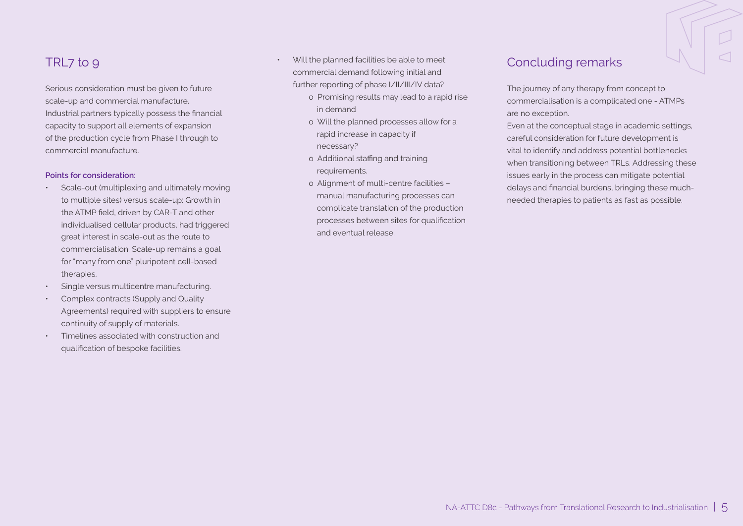## TRL7 to 9

Serious consideration must be given to future scale-up and commercial manufacture. Industrial partners typically possess the financial capacity to support all elements of expansion of the production cycle from Phase I through to commercial manufacture.

#### **Points for consideration:**

- Scale-out (multiplexing and ultimately moving to multiple sites) versus scale-up: Growth in the ATMP field, driven by CAR-T and other individualised cellular products, had triggered great interest in scale-out as the route to commercialisation. Scale-up remains a goal for "many from one" pluripotent cell-based therapies.
- Single versus multicentre manufacturing.
- Complex contracts (Supply and Quality Agreements) required with suppliers to ensure continuity of supply of materials.
- Timelines associated with construction and qualification of bespoke facilities.
- Will the planned facilities be able to meet commercial demand following initial and further reporting of phase I/II/III/IV data?
	- o Promising results may lead to a rapid rise in demand
	- o Will the planned processes allow for a rapid increase in capacity if necessary?
	- o Additional staffing and training requirements.
	- o Alignment of multi-centre facilities manual manufacturing processes can complicate translation of the production processes between sites for qualification and eventual release.

### Concluding remarks

The journey of any therapy from concept to commercialisation is a complicated one - ATMPs are no exception.

Even at the conceptual stage in academic settings, careful consideration for future development is vital to identify and address potential bottlenecks when transitioning between TRLs. Addressing these issues early in the process can mitigate potential delays and financial burdens, bringing these muchneeded therapies to patients as fast as possible.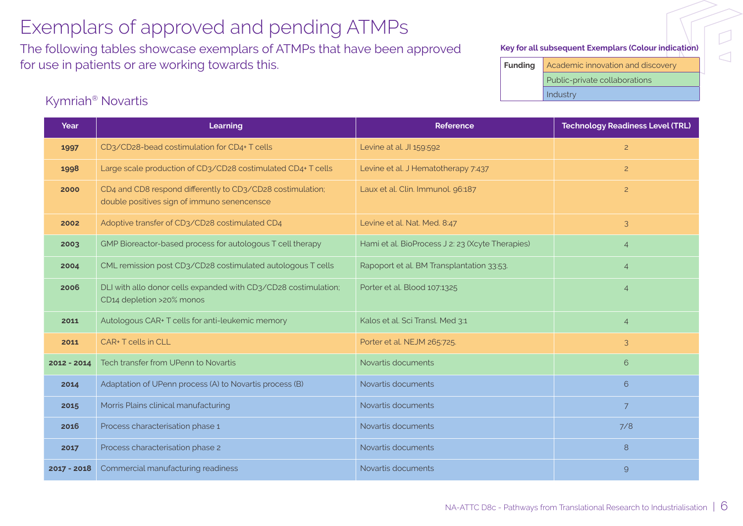The following tables showcase exemplars of ATMPs that have been approved for use in patients or are working towards this.

#### **Key for all subsequent Exemplars (Colour indication)**

 $\overline{\cup}$ 

 $\triangleleft$ 

**Funding** Academic innovation and discovery Public-private collaborations Industry

### Kymriah® Novartis

| Year          | Learning                                                                                                  | <b>Reference</b>                                 | <b>Technology Readiness Level (TRL)</b> |
|---------------|-----------------------------------------------------------------------------------------------------------|--------------------------------------------------|-----------------------------------------|
| 1997          | CD3/CD28-bead costimulation for CD4+ T cells                                                              | Levine at al. JI 159:592                         | $\overline{2}$                          |
| 1998          | Large scale production of CD3/CD28 costimulated CD4+ T cells                                              | Levine et al. J Hematotherapy 7:437              | $\overline{2}$                          |
| 2000          | CD4 and CD8 respond differently to CD3/CD28 costimulation;<br>double positives sign of immuno senencensce | Laux et al. Clin. Immunol. 96:187                | $\overline{2}$                          |
| 2002          | Adoptive transfer of CD3/CD28 costimulated CD4                                                            | Levine et al. Nat. Med. 8:47                     | 3                                       |
| 2003          | GMP Bioreactor-based process for autologous T cell therapy                                                | Hami et al. BioProcess J 2: 23 (Xcyte Therapies) | $\overline{4}$                          |
| 2004          | CML remission post CD3/CD28 costimulated autologous T cells                                               | Rapoport et al. BM Transplantation 33:53.        | $\overline{4}$                          |
| 2006          | DLI with allo donor cells expanded with CD3/CD28 costimulation;<br>CD14 depletion >20% monos              | Porter et al. Blood 107:1325                     | $\overline{4}$                          |
| 2011          | Autologous CAR+ T cells for anti-leukemic memory                                                          | Kalos et al. Sci Transl. Med 3:1                 | $\overline{4}$                          |
| 2011          | CAR+ T cells in CLL                                                                                       | Porter et al. NEJM 265:725.                      | 3                                       |
| 2012 - 2014   | Tech transfer from UPenn to Novartis                                                                      | Novartis documents                               | 6                                       |
| 2014          | Adaptation of UPenn process (A) to Novartis process (B)                                                   | Novartis documents                               | 6                                       |
| 2015          | Morris Plains clinical manufacturing                                                                      | Novartis documents                               | $\overline{7}$                          |
| 2016          | Process characterisation phase 1                                                                          | Novartis documents                               | 7/8                                     |
| 2017          | Process characterisation phase 2                                                                          | Novartis documents                               | 8                                       |
| $2017 - 2018$ | Commercial manufacturing readiness                                                                        | Novartis documents                               | $\overline{9}$                          |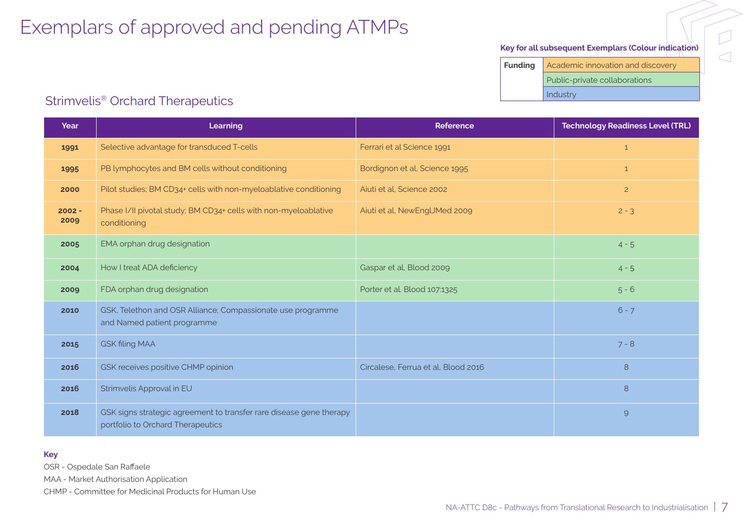#### **Key for all subsequent Exemplars (Colour indication)**

 $\Box$ 

 $\triangleleft$ 

**Funding Academic innovation and discovery** Public-private collaborations Industry

### Strimvelis® Orchard Therapeutics

| Year             | Learning                                                                                                 | Reference                           | <b>Technology Readiness Level (TRL)</b> |
|------------------|----------------------------------------------------------------------------------------------------------|-------------------------------------|-----------------------------------------|
| 1991             | Selective advantage for transduced T-cells                                                               | Ferrari et al Science 1991          | $\mathbf{1}$                            |
| 1995             | PB lymphocytes and BM cells without conditioning                                                         | Bordignon et al, Science 1995       | $\mathbf{1}$                            |
| 2000             | Pilot studies; BM CD34+ cells with non-myeloablative conditioning                                        | Aiuti et al. Science 2002           | $\overline{c}$                          |
| $2002 -$<br>2009 | Phase I/II pivotal study; BM CD34+ cells with non-myeloablative<br>conditioning                          | Aiuti et al, NewEngUMed 2009        | $2 - 3$                                 |
| 2005             | EMA orphan drug designation                                                                              |                                     | $4 - 5$                                 |
| 2004             | How I treat ADA deficiency                                                                               | Gaspar et al, Blood 2009            | $4 - 5$                                 |
| 2009             | FDA orphan drug designation                                                                              | Porter et al. Blood 107:1325        | $5 - 6$                                 |
| 2010             | GSK, Telethon and OSR Alliance; Compassionate use programme<br>and Named patient programme               |                                     | $6 - 7$                                 |
| 2015             | <b>GSK filing MAA</b>                                                                                    |                                     | $7 - 8$                                 |
| 2016             | GSK receives positive CHMP opinion                                                                       | Circalese, Ferrua et al, Blood 2016 | 8                                       |
| 2016             | Strimvelis Approval in EU                                                                                |                                     | 8                                       |
| 2018             | GSK signs strategic agreement to transfer rare disease gene therapy<br>portfolio to Orchard Therapeutics |                                     | $\Theta$                                |

#### **Key**

OSR - Ospedale San Raffaele

MAA - Market Authorisation Application

CHMP - Committee for Medicinal Products for Human Use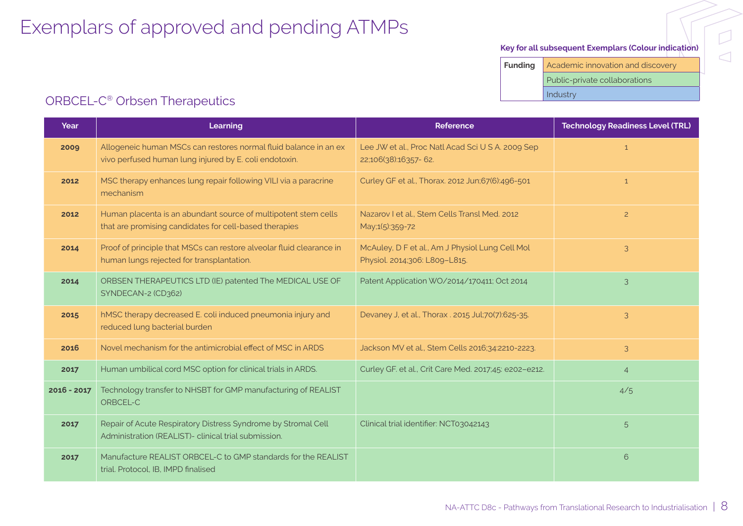#### **Key for all subsequent Exemplars (Colour indication)**

**Funding** Academic innovation and discovery Public-private collaborations Industry

## ORBCEL-C® Orbsen Therapeutics

| Year          | Learning                                                                                                                   | <b>Reference</b>                                                                 | <b>Technology Readiness Level (TRL)</b> |
|---------------|----------------------------------------------------------------------------------------------------------------------------|----------------------------------------------------------------------------------|-----------------------------------------|
| 2009          | Allogeneic human MSCs can restores normal fluid balance in an ex<br>vivo perfused human lung injured by E. coli endotoxin. | Lee JW et al., Proc Natl Acad Sci U S A. 2009 Sep<br>22;106(38):16357-62.        | $\mathbf{1}$                            |
| 2012          | MSC therapy enhances lung repair following VILI via a paracrine<br>mechanism                                               | Curley GF et al., Thorax. 2012 Jun;67(6):496-501                                 | $\mathbf{1}$                            |
| 2012          | Human placenta is an abundant source of multipotent stem cells<br>that are promising candidates for cell-based therapies   | Nazarov I et al., Stem Cells Transl Med. 2012<br>May;1(5):359-72                 | $\overline{2}$                          |
| 2014          | Proof of principle that MSCs can restore alveolar fluid clearance in<br>human lungs rejected for transplantation.          | McAuley, D F et al., Am J Physiol Lung Cell Mol<br>Physiol. 2014;306: L809-L815. | 3                                       |
| 2014          | ORBSEN THERAPEUTICS LTD (IE) patented The MEDICAL USE OF<br>SYNDECAN-2 (CD362)                                             | Patent Application WO/2014/170411; Oct 2014                                      | 3                                       |
| 2015          | hMSC therapy decreased E. coli induced pneumonia injury and<br>reduced lung bacterial burden                               | Devaney J, et al., Thorax . 2015 Jul;70(7):625-35.                               | 3                                       |
| 2016          | Novel mechanism for the antimicrobial effect of MSC in ARDS                                                                | Jackson MV et al., Stem Cells 2016;34:2210-2223.                                 | 3                                       |
| 2017          | Human umbilical cord MSC option for clinical trials in ARDS.                                                               | Curley GF. et al., Crit Care Med. 2017;45: e202-e212.                            | $\overline{4}$                          |
| $2016 - 2017$ | Technology transfer to NHSBT for GMP manufacturing of REALIST<br>ORBCEL-C                                                  |                                                                                  | 4/5                                     |
| 2017          | Repair of Acute Respiratory Distress Syndrome by Stromal Cell<br>Administration (REALIST)- clinical trial submission.      | Clinical trial identifier: NCT03042143                                           | 5                                       |
| 2017          | Manufacture REALIST ORBCEL-C to GMP standards for the REALIST<br>trial. Protocol, IB, IMPD finalised                       |                                                                                  | 6                                       |

 $\overline{\triangle}$ 

 $\overline{D}$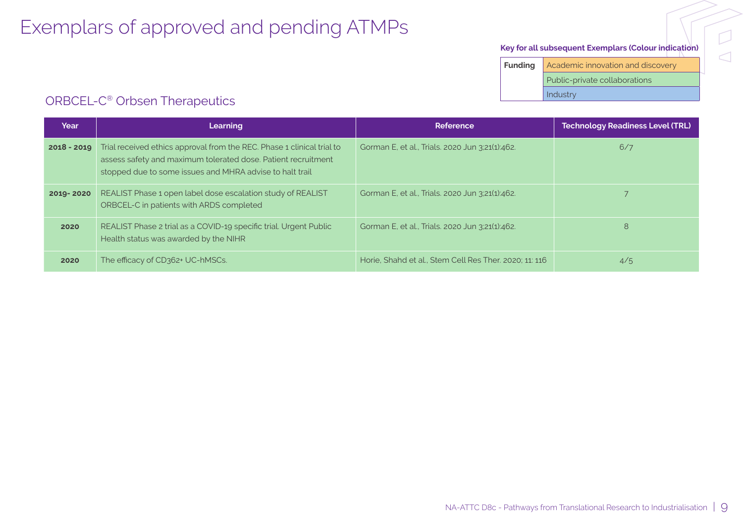#### **Key for all subsequent Exemplars (Colour indication)**

 $\overline{D}$ 

 $\overline{\triangle}$ 

**Funding** Academic innovation and discovery Public-private collaborations Industry

## ORBCEL-C® Orbsen Therapeutics

| Year          | Learning                                                                                                                                                                                            | Reference                                              | <b>Technology Readiness Level (TRL)</b> |
|---------------|-----------------------------------------------------------------------------------------------------------------------------------------------------------------------------------------------------|--------------------------------------------------------|-----------------------------------------|
| $2018 - 2019$ | Trial received ethics approval from the REC. Phase 1 clinical trial to<br>assess safety and maximum tolerated dose. Patient recruitment<br>stopped due to some issues and MHRA advise to halt trail | Gorman E, et al., Trials. 2020 Jun 3:21(1):462.        | 6/7                                     |
| 2019-2020     | REALIST Phase 1 open label dose escalation study of REALIST<br>ORBCEL-C in patients with ARDS completed                                                                                             | Gorman E, et al., Trials. 2020 Jun 3:21(1):462.        |                                         |
| 2020          | REALIST Phase 2 trial as a COVID-19 specific trial. Urgent Public<br>Health status was awarded by the NIHR                                                                                          | Gorman E, et al., Trials. 2020 Jun 3:21(1):462.        | 8                                       |
| 2020          | The efficacy of CD362+ UC-hMSCs.                                                                                                                                                                    | Horie. Shahd et al., Stem Cell Res Ther. 2020: 11: 116 | 4/5                                     |